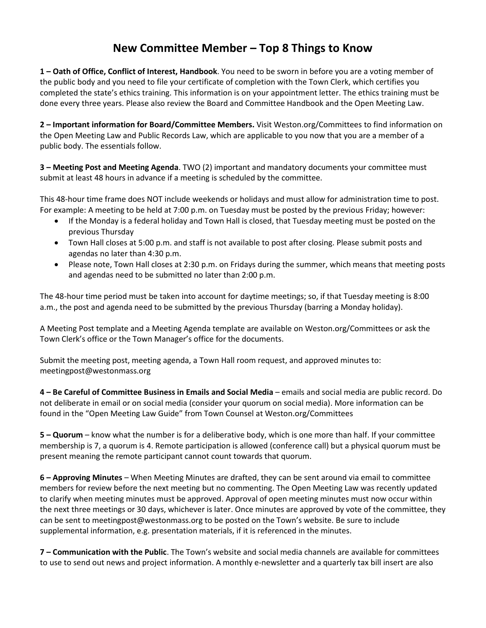## **New Committee Member – Top 8 Things to Know**

**1 – Oath of Office, Conflict of Interest, Handbook**. You need to be sworn in before you are a voting member of the public body and you need to file your certificate of completion with the Town Clerk, which certifies you completed the state's ethics training. This information is on your appointment letter. The ethics training must be done every three years. Please also review the Board and Committee Handbook and the Open Meeting Law.

**2 – Important information for Board/Committee Members.** Visit Weston.org/Committees to find information on the Open Meeting Law and Public Records Law, which are applicable to you now that you are a member of a public body. The essentials follow.

**3 – Meeting Post and Meeting Agenda**. TWO (2) important and mandatory documents your committee must submit at least 48 hours in advance if a meeting is scheduled by the committee.

This 48-hour time frame does NOT include weekends or holidays and must allow for administration time to post. For example: A meeting to be held at 7:00 p.m. on Tuesday must be posted by the previous Friday; however:

- If the Monday is a federal holiday and Town Hall is closed, that Tuesday meeting must be posted on the previous Thursday
- Town Hall closes at 5:00 p.m. and staff is not available to post after closing. Please submit posts and agendas no later than 4:30 p.m.
- Please note, Town Hall closes at 2:30 p.m. on Fridays during the summer, which means that meeting posts and agendas need to be submitted no later than 2:00 p.m.

The 48-hour time period must be taken into account for daytime meetings; so, if that Tuesday meeting is 8:00 a.m., the post and agenda need to be submitted by the previous Thursday (barring a Monday holiday).

A Meeting Post template and a Meeting Agenda template are available on Weston.org/Committees or ask the Town Clerk's office or the Town Manager's office for the documents.

Submit the meeting post, meeting agenda, a Town Hall room request, and approved minutes to: meetingpost@westonmass.org

**4 – Be Careful of Committee Business in Emails and Social Media** – emails and social media are public record. Do not deliberate in email or on social media (consider your quorum on social media). More information can be found in the "Open Meeting Law Guide" from Town Counsel at Weston.org/Committees

**5 – Quorum** – know what the number is for a deliberative body, which is one more than half. If your committee membership is 7, a quorum is 4. Remote participation is allowed (conference call) but a physical quorum must be present meaning the remote participant cannot count towards that quorum.

**6 – Approving Minutes** – When Meeting Minutes are drafted, they can be sent around via email to committee members for review before the next meeting but no commenting. The Open Meeting Law was recently updated to clarify when meeting minutes must be approved. Approval of open meeting minutes must now occur within the next three meetings or 30 days, whichever is later. Once minutes are approved by vote of the committee, they can be sent to meetingpost@westonmass.org to be posted on the Town's website. Be sure to include supplemental information, e.g. presentation materials, if it is referenced in the minutes.

**7 – Communication with the Public**. The Town's website and social media channels are available for committees to use to send out news and project information. A monthly e-newsletter and a quarterly tax bill insert are also